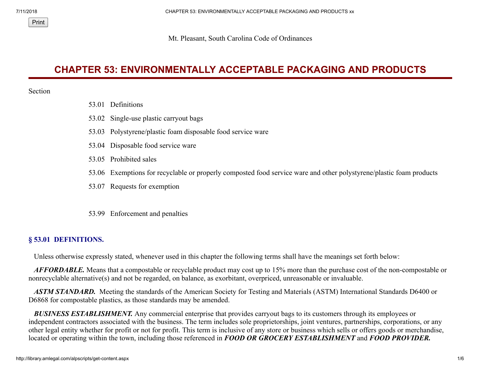Mt. Pleasant, South Carolina Code of Ordinances

# **CHAPTER 53: ENVIRONMENTALLY ACCEPTABLE PACKAGING AND PRODUCTS**

#### Section

Print

- 53.01 Definitions
- 53.02 Single-use plastic carryout bags
- 53.03 Polystyrene/plastic foam disposable food service ware
- 53.04 Disposable food service ware
- 53.05 Prohibited sales
- 53.06 Exemptions for recyclable or properly composted food service ware and other polystyrene/plastic foam products
- 53.07 Requests for exemption
- 53.99 Enforcement and penalties

## **§ 53.01 DEFINITIONS.**

Unless otherwise expressly stated, whenever used in this chapter the following terms shall have the meanings set forth below:

 *AFFORDABLE.* Means that a compostable or recyclable product may cost up to 15% more than the purchase cost of the non-compostable or nonrecyclable alternative(s) and not be regarded, on balance, as exorbitant, overpriced, unreasonable or invaluable.

 *ASTM STANDARD.* Meeting the standards of the American Society for Testing and Materials (ASTM) International Standards D6400 or D6868 for compostable plastics, as those standards may be amended.

 *BUSINESS ESTABLISHMENT.* Any commercial enterprise that provides carryout bags to its customers through its employees or independent contractors associated with the business. The term includes sole proprietorships, joint ventures, partnerships, corporations, or any other legal entity whether for profit or not for profit. This term is inclusive of any store or business which sells or offers goods or merchandise, located or operating within the town, including those referenced in *FOOD OR GROCERY ESTABLISHMENT* and *FOOD PROVIDER.*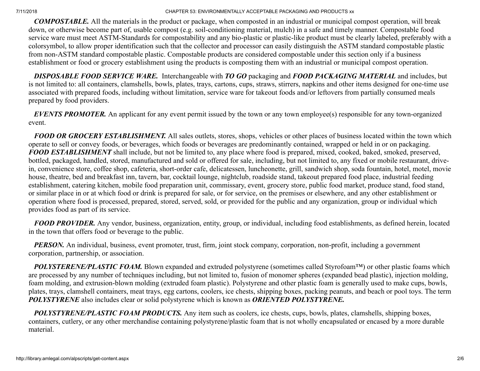*COMPOSTABLE.* All the materials in the product or package, when composted in an industrial or municipal compost operation, will break down, or otherwise become part of, usable compost (e.g. soil-conditioning material, mulch) in a safe and timely manner. Compostable food service ware must meet ASTM-Standards for compostability and any bio-plastic or plastic-like product must be clearly labeled, preferably with a colorsymbol, to allow proper identification such that the collector and processor can easily distinguish the ASTM standard compostable plastic from non-ASTM standard compostable plastic. Compostable products are considered compostable under this section only if a business establishment or food or grocery establishment using the products is composting them with an industrial or municipal compost operation.

 *DISPOSABLE FOOD SERVICE WARE.* Interchangeable with *TO GO* packaging and *FOOD PACKAGING MATERIAL* and includes, but is not limited to: all containers, clamshells, bowls, plates, trays, cartons, cups, straws, stirrers, napkins and other items designed for one-time use associated with prepared foods, including without limitation, service ware for takeout foods and/or leftovers from partially consumed meals prepared by food providers.

 *EVENTS PROMOTER.* An applicant for any event permit issued by the town or any town employee(s) responsible for any town-organized event.

*FOOD OR GROCERY ESTABLISHMENT.* All sales outlets, stores, shops, vehicles or other places of business located within the town which operate to sell or convey foods, or beverages, which foods or beverages are predominantly contained, wrapped or held in or on packaging. *FOOD ESTABLISHMENT* shall include, but not be limited to, any place where food is prepared, mixed, cooked, baked, smoked, preserved, bottled, packaged, handled, stored, manufactured and sold or offered for sale, including, but not limited to, any fixed or mobile restaurant, drivein, convenience store, coffee shop, cafeteria, short-order cafe, delicatessen, luncheonette, grill, sandwich shop, soda fountain, hotel, motel, movie house, theatre, bed and breakfast inn, tavern, bar, cocktail lounge, nightclub, roadside stand, takeout prepared food place, industrial feeding establishment, catering kitchen, mobile food preparation unit, commissary, event, grocery store, public food market, produce stand, food stand, or similar place in or at which food or drink is prepared for sale, or for service, on the premises or elsewhere, and any other establishment or operation where food is processed, prepared, stored, served, sold, or provided for the public and any organization, group or individual which provides food as part of its service.

 *FOOD PROVIDER.* Any vendor, business, organization, entity, group, or individual, including food establishments, as defined herein, located in the town that offers food or beverage to the public.

*PERSON*. An individual, business, event promoter, trust, firm, joint stock company, corporation, non-profit, including a government corporation, partnership, or association.

*POLYSTERENE/PLASTIC FOAM*. Blown expanded and extruded polystyrene (sometimes called Styrofoam™) or other plastic foams which are processed by any number of techniques including, but not limited to, fusion of monomer spheres (expanded bead plastic), injection molding, foam molding, and extrusion-blown molding (extruded foam plastic). Polystyrene and other plastic foam is generally used to make cups, bowls, plates, trays, clamshell containers, meat trays, egg cartons, coolers, ice chests, shipping boxes, packing peanuts, and beach or pool toys. The term *POLYSTYRENE* also includes clear or solid polystyrene which is known as *ORIENTED POLYSTYRENE.*

 *POLYSTYRENE/PLASTIC FOAM PRODUCTS.* Any item such as coolers, ice chests, cups, bowls, plates, clamshells, shipping boxes, containers, cutlery, or any other merchandise containing polystyrene/plastic foam that is not wholly encapsulated or encased by a more durable material.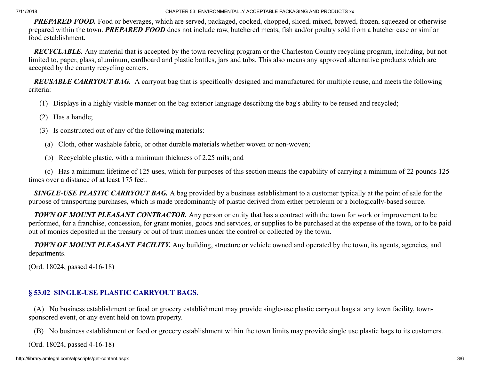**PREPARED FOOD.** Food or beverages, which are served, packaged, cooked, chopped, sliced, mixed, brewed, frozen, squeezed or otherwise prepared within the town. *PREPARED FOOD* does not include raw, butchered meats, fish and/or poultry sold from a butcher case or similar food establishment.

 *RECYCLABLE.* Any material that is accepted by the town recycling program or the Charleston County recycling program, including, but not limited to, paper, glass, aluminum, cardboard and plastic bottles, jars and tubs. This also means any approved alternative products which are accepted by the county recycling centers.

 *REUSABLE CARRYOUT BAG.* A carryout bag that is specifically designed and manufactured for multiple reuse, and meets the following criteria:

- (1) Displays in a highly visible manner on the bag exterior language describing the bag's ability to be reused and recycled;
- (2) Has a handle;
- (3) Is constructed out of any of the following materials:
	- (a) Cloth, other washable fabric, or other durable materials whether woven or non-woven;
	- (b) Recyclable plastic, with a minimum thickness of 2.25 mils; and

 (c) Has a minimum lifetime of 125 uses, which for purposes of this section means the capability of carrying a minimum of 22 pounds 125 times over a distance of at least 175 feet.

 *SINGLE-USE PLASTIC CARRYOUT BAG.* A bag provided by a business establishment to a customer typically at the point of sale for the purpose of transporting purchases, which is made predominantly of plastic derived from either petroleum or a biologically-based source.

 *TOWN OF MOUNT PLEASANT CONTRACTOR.* Any person or entity that has a contract with the town for work or improvement to be performed, for a franchise, concession, for grant monies, goods and services, or supplies to be purchased at the expense of the town, or to be paid out of monies deposited in the treasury or out of trust monies under the control or collected by the town.

 *TOWN OF MOUNT PLEASANT FACILITY.* Any building, structure or vehicle owned and operated by the town, its agents, agencies, and departments.

(Ord. 18024, passed 4-16-18)

# **§ 53.02 SINGLE-USE PLASTIC CARRYOUT BAGS.**

 (A) No business establishment or food or grocery establishment may provide single-use plastic carryout bags at any town facility, townsponsored event, or any event held on town property.

(B) No business establishment or food or grocery establishment within the town limits may provide single use plastic bags to its customers.

(Ord. 18024, passed 4-16-18)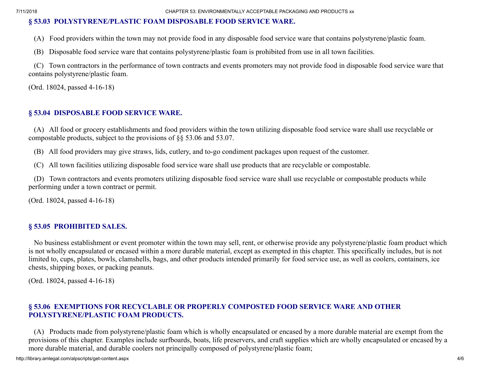### **§ 53.03 POLYSTYRENE/PLASTIC FOAM DISPOSABLE FOOD SERVICE WARE.**

(A) Food providers within the town may not provide food in any disposable food service ware that contains polystyrene/plastic foam.

(B) Disposable food service ware that contains polystyrene/plastic foam is prohibited from use in all town facilities.

 (C) Town contractors in the performance of town contracts and events promoters may not provide food in disposable food service ware that contains polystyrene/plastic foam.

(Ord. 18024, passed 4-16-18)

### **§ 53.04 DISPOSABLE FOOD SERVICE WARE.**

 (A) All food or grocery establishments and food providers within the town utilizing disposable food service ware shall use recyclable or compostable products, subject to the provisions of §§ 53.06 and 53.07.

(B) All food providers may give straws, lids, cutlery, and to-go condiment packages upon request of the customer.

(C) All town facilities utilizing disposable food service ware shall use products that are recyclable or compostable.

 (D) Town contractors and events promoters utilizing disposable food service ware shall use recyclable or compostable products while performing under a town contract or permit.

(Ord. 18024, passed 4-16-18)

#### **§ 53.05 PROHIBITED SALES.**

 No business establishment or event promoter within the town may sell, rent, or otherwise provide any polystyrene/plastic foam product which is not wholly encapsulated or encased within a more durable material, except as exempted in this chapter. This specifically includes, but is not limited to, cups, plates, bowls, clamshells, bags, and other products intended primarily for food service use, as well as coolers, containers, ice chests, shipping boxes, or packing peanuts.

(Ord. 18024, passed 4-16-18)

### **§ 53.06 EXEMPTIONS FOR RECYCLABLE OR PROPERLY COMPOSTED FOOD SERVICE WARE AND OTHER POLYSTYRENE/PLASTIC FOAM PRODUCTS.**

 (A) Products made from polystyrene/plastic foam which is wholly encapsulated or encased by a more durable material are exempt from the provisions of this chapter. Examples include surfboards, boats, life preservers, and craft supplies which are wholly encapsulated or encased by a more durable material, and durable coolers not principally composed of polystyrene/plastic foam;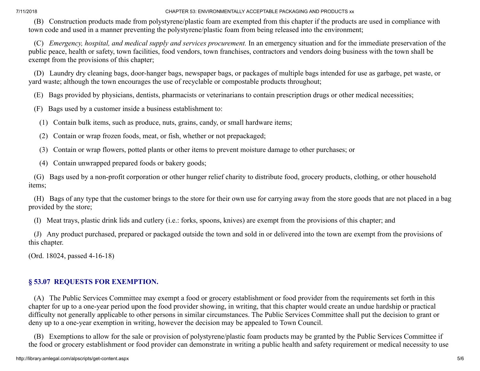(B) Construction products made from polystyrene/plastic foam are exempted from this chapter if the products are used in compliance with town code and used in a manner preventing the polystyrene/plastic foam from being released into the environment;

 (C) *Emergency, hospital, and medical supply and services procurement.* In an emergency situation and for the immediate preservation of the public peace, health or safety, town facilities, food vendors, town franchises, contractors and vendors doing business with the town shall be exempt from the provisions of this chapter;

 (D) Laundry dry cleaning bags, door-hanger bags, newspaper bags, or packages of multiple bags intended for use as garbage, pet waste, or yard waste; although the town encourages the use of recyclable or compostable products throughout;

(E) Bags provided by physicians, dentists, pharmacists or veterinarians to contain prescription drugs or other medical necessities;

(F) Bags used by a customer inside a business establishment to:

(1) Contain bulk items, such as produce, nuts, grains, candy, or small hardware items;

- (2) Contain or wrap frozen foods, meat, or fish, whether or not prepackaged;
- (3) Contain or wrap flowers, potted plants or other items to prevent moisture damage to other purchases; or
- (4) Contain unwrapped prepared foods or bakery goods;

 (G) Bags used by a non-profit corporation or other hunger relief charity to distribute food, grocery products, clothing, or other household items;

 (H) Bags of any type that the customer brings to the store for their own use for carrying away from the store goods that are not placed in a bag provided by the store;

(I) Meat trays, plastic drink lids and cutlery (i.e.: forks, spoons, knives) are exempt from the provisions of this chapter; and

 (J) Any product purchased, prepared or packaged outside the town and sold in or delivered into the town are exempt from the provisions of this chapter.

(Ord. 18024, passed 4-16-18)

# **§ 53.07 REQUESTS FOR EXEMPTION.**

 (A) The Public Services Committee may exempt a food or grocery establishment or food provider from the requirements set forth in this chapter for up to a one-year period upon the food provider showing, in writing, that this chapter would create an undue hardship or practical difficulty not generally applicable to other persons in similar circumstances. The Public Services Committee shall put the decision to grant or deny up to a one-year exemption in writing, however the decision may be appealed to Town Council.

 (B) Exemptions to allow for the sale or provision of polystyrene/plastic foam products may be granted by the Public Services Committee if the food or grocery establishment or food provider can demonstrate in writing a public health and safety requirement or medical necessity to use